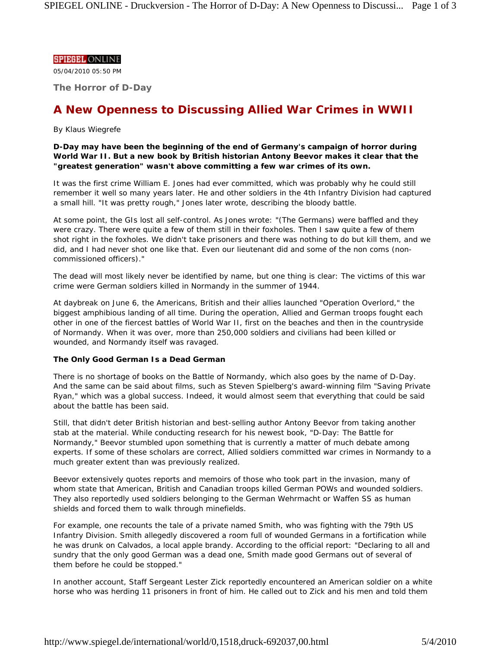## **SPIEGEL ONLINE**

05/04/2010 05:50 PM

**The Horror of D-Day**

# **A New Openness to Discussing Allied War Crimes in WWII**

# *By Klaus Wiegrefe*

**D-Day may have been the beginning of the end of Germany's campaign of horror during World War II. But a new book by British historian Antony Beevor makes it clear that the "greatest generation" wasn't above committing a few war crimes of its own.**

It was the first crime William E. Jones had ever committed, which was probably why he could still remember it well so many years later. He and other soldiers in the 4th Infantry Division had captured a small hill. "It was pretty rough," Jones later wrote, describing the bloody battle.

At some point, the GIs lost all self-control. As Jones wrote: "(The Germans) were baffled and they were crazy. There were quite a few of them still in their foxholes. Then I saw quite a few of them shot right in the foxholes. We didn't take prisoners and there was nothing to do but kill them, and we did, and I had never shot one like that. Even our lieutenant did and some of the non coms (noncommissioned officers)."

The dead will most likely never be identified by name, but one thing is clear: The victims of this war crime were German soldiers killed in Normandy in the summer of 1944.

At daybreak on June 6, the Americans, British and their allies launched "Operation Overlord," the biggest amphibious landing of all time. During the operation, Allied and German troops fought each other in one of the fiercest battles of World War II, first on the beaches and then in the countryside of Normandy. When it was over, more than 250,000 soldiers and civilians had been killed or wounded, and Normandy itself was ravaged.

## **The Only Good German Is a Dead German**

There is no shortage of books on the Battle of Normandy, which also goes by the name of D-Day. And the same can be said about films, such as Steven Spielberg's award-winning film "Saving Private Ryan," which was a global success. Indeed, it would almost seem that everything that could be said about the battle has been said.

Still, that didn't deter British historian and best-selling author Antony Beevor from taking another stab at the material. While conducting research for his newest book, "D-Day: The Battle for Normandy," Beevor stumbled upon something that is currently a matter of much debate among experts. If some of these scholars are correct, Allied soldiers committed war crimes in Normandy to a much greater extent than was previously realized.

Beevor extensively quotes reports and memoirs of those who took part in the invasion, many of whom state that American, British and Canadian troops killed German POWs and wounded soldiers. They also reportedly used soldiers belonging to the German Wehrmacht or Waffen SS as human shields and forced them to walk through minefields.

For example, one recounts the tale of a private named Smith, who was fighting with the 79th US Infantry Division. Smith allegedly discovered a room full of wounded Germans in a fortification while he was drunk on Calvados, a local apple brandy. According to the official report: "Declaring to all and sundry that the only good German was a dead one, Smith made good Germans out of several of them before he could be stopped."

In another account, Staff Sergeant Lester Zick reportedly encountered an American soldier on a white horse who was herding 11 prisoners in front of him. He called out to Zick and his men and told them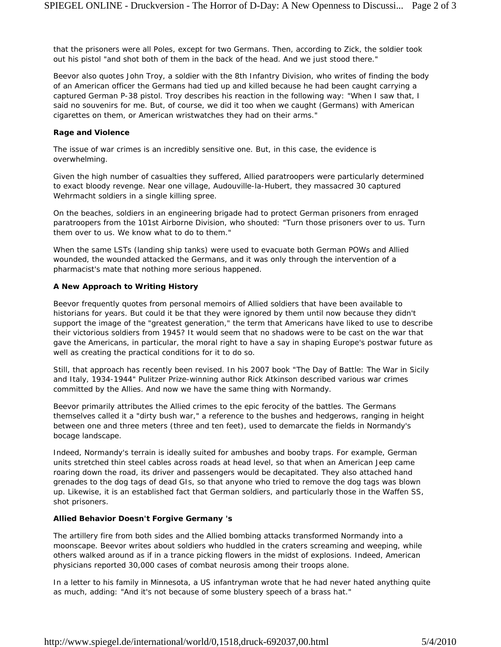that the prisoners were all Poles, except for two Germans. Then, according to Zick, the soldier took out his pistol "and shot both of them in the back of the head. And we just stood there."

Beevor also quotes John Troy, a soldier with the 8th Infantry Division, who writes of finding the body of an American officer the Germans had tied up and killed because he had been caught carrying a captured German P-38 pistol. Troy describes his reaction in the following way: "When I saw that, I said no souvenirs for me. But, of course, we did it too when we caught (Germans) with American cigarettes on them, or American wristwatches they had on their arms."

#### **Rage and Violence**

The issue of war crimes is an incredibly sensitive one. But, in this case, the evidence is overwhelming.

Given the high number of casualties they suffered, Allied paratroopers were particularly determined to exact bloody revenge. Near one village, Audouville-la-Hubert, they massacred 30 captured Wehrmacht soldiers in a single killing spree.

On the beaches, soldiers in an engineering brigade had to protect German prisoners from enraged paratroopers from the 101st Airborne Division, who shouted: "Turn those prisoners over to us. Turn them over to us. We know what to do to them."

When the same LSTs (landing ship tanks) were used to evacuate both German POWs and Allied wounded, the wounded attacked the Germans, and it was only through the intervention of a pharmacist's mate that nothing more serious happened.

## **A New Approach to Writing History**

Beevor frequently quotes from personal memoirs of Allied soldiers that have been available to historians for years. But could it be that they were ignored by them until now because they didn't support the image of the "greatest generation," the term that Americans have liked to use to describe their victorious soldiers from 1945? It would seem that no shadows were to be cast on the war that gave the Americans, in particular, the moral right to have a say in shaping Europe's postwar future as well as creating the practical conditions for it to do so.

Still, that approach has recently been revised. In his 2007 book "*The Day of Battle: The War in Sicily and Italy, 1934-1944*" Pulitzer Prize-winning author Rick Atkinson described various war crimes committed by the Allies. And now we have the same thing with Normandy.

Beevor primarily attributes the Allied crimes to the epic ferocity of the battles. The Germans themselves called it a "dirty bush war," a reference to the bushes and hedgerows, ranging in height between one and three meters (three and ten feet), used to demarcate the fields in Normandy's bocage landscape.

Indeed, Normandy's terrain is ideally suited for ambushes and booby traps. For example, German units stretched thin steel cables across roads at head level, so that when an American Jeep came roaring down the road, its driver and passengers would be decapitated. They also attached hand grenades to the dog tags of dead GIs, so that anyone who tried to remove the dog tags was blown up. Likewise, it is an established fact that German soldiers, and particularly those in the Waffen SS, shot prisoners.

#### **Allied Behavior Doesn't Forgive Germany 's**

The artillery fire from both sides and the Allied bombing attacks transformed Normandy into a moonscape. Beevor writes about soldiers who huddled in the craters screaming and weeping, while others walked around as if in a trance picking flowers in the midst of explosions. Indeed, American physicians reported 30,000 cases of combat neurosis among their troops alone.

In a letter to his family in Minnesota, a US infantryman wrote that he had never hated anything quite as much, adding: "And it's not because of some blustery speech of a brass hat."